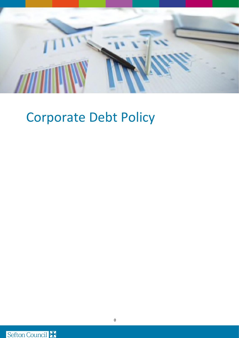

# Corporate Debt Policy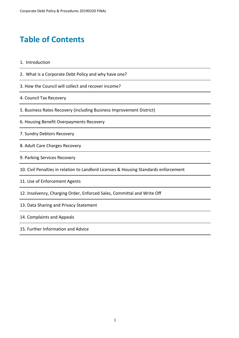# **Table of Contents**

- 1. Introduction
- 2. What is a Corporate Debt Policy and why have one?
- 3. How the Council will collect and recover income?

4. Council Tax Recovery

- 5. Business Rates Recovery (including Business Improvement District)
- 6. Housing Benefit Overpayments Recovery
- 7. Sundry Debtors Recovery
- 8. Adult Care Charges Recovery
- 9. Parking Services Recovery
- 10. Civil Penalties in relation to Landlord Licenses & Housing Standards enforcement
- 11. Use of Enforcement Agents
- 12. Insolvency, Charging Order, Enforced Sales, Committal and Write Off
- 13. Data Sharing and Privacy Statement

14. Complaints and Appeals

15. Further Information and Advice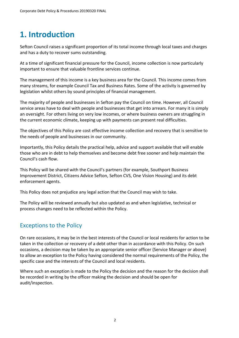# **1. Introduction**

Sefton Council raises a significant proportion of its total income through local taxes and charges and has a duty to recover sums outstanding.

At a time of significant financial pressure for the Council, income collection is now particularly important to ensure that valuable frontline services continue.

The management of this income is a key business area for the Council. This income comes from many streams, for example Council Tax and Business Rates. Some of the activity is governed by legislation whilst others by sound principles of financial management.

The majority of people and businesses in Sefton pay the Council on time. However, all Council service areas have to deal with people and businesses that get into arrears. For many it is simply an oversight. For others living on very low incomes, or where business owners are struggling in the current economic climate, keeping up with payments can present real difficulties.

The objectives of this Policy are cost effective income collection and recovery that is sensitive to the needs of people and businesses in our community.

Importantly, this Policy details the practical help, advice and support available that will enable those who are in debt to help themselves and become debt free sooner and help maintain the Council's cash flow.

This Policy will be shared with the Council's partners (for example, Southport Business Improvement District, Citizens Advice Sefton, Sefton CVS, One Vision Housing) and its debt enforcement agents.

This Policy does not prejudice any legal action that the Council may wish to take.

The Policy will be reviewed annually but also updated as and when legislative, technical or process changes need to be reflected within the Policy.

# Exceptions to the Policy

On rare occasions, it may be in the best interests of the Council or local residents for action to be taken in the collection or recovery of a debt other than in accordance with this Policy. On such occasions, a decision may be taken by an appropriate senior officer (Service Manager or above) to allow an exception to the Policy having considered the normal requirements of the Policy, the specific case and the interests of the Council and local residents.

Where such an exception is made to the Policy the decision and the reason for the decision shall be recorded in writing by the officer making the decision and should be open for audit/inspection.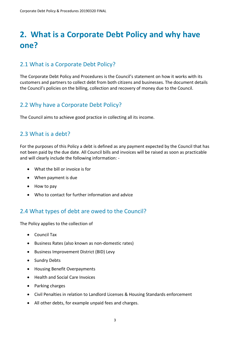# **2. What is a Corporate Debt Policy and why have one?**

#### 2.1 What is a Corporate Debt Policy?

The Corporate Debt Policy and Procedures is the Council's statement on how it works with its customers and partners to collect debt from both citizens and businesses. The document details the Council's policies on the billing, collection and recovery of money due to the Council.

### 2.2 Why have a Corporate Debt Policy?

The Council aims to achieve good practice in collecting all its income.

#### 2.3 What is a debt?

For the purposes of this Policy a debt is defined as any payment expected by the Council that has not been paid by the due date. All Council bills and invoices will be raised as soon as practicable and will clearly include the following information: -

- What the bill or invoice is for
- When payment is due
- How to pay
- Who to contact for further information and advice

#### 2.4 What types of debt are owed to the Council?

The Policy applies to the collection of

- Council Tax
- Business Rates (also known as non-domestic rates)
- Business Improvement District (BID) Levy
- Sundry Debts
- Housing Benefit Overpayments
- Health and Social Care Invoices
- Parking charges
- Civil Penalties in relation to Landlord Licenses & Housing Standards enforcement
- All other debts, for example unpaid fees and charges.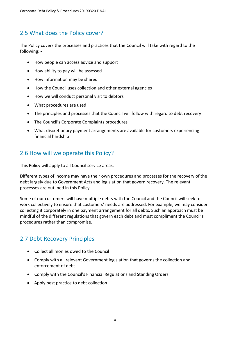# 2.5 What does the Policy cover?

The Policy covers the processes and practices that the Council will take with regard to the following: -

- How people can access advice and support
- How ability to pay will be assessed
- How information may be shared
- How the Council uses collection and other external agencies
- How we will conduct personal visit to debtors
- What procedures are used
- The principles and processes that the Council will follow with regard to debt recovery
- The Council's Corporate Complaints procedures
- What discretionary payment arrangements are available for customers experiencing financial hardship

### 2.6 How will we operate this Policy?

This Policy will apply to all Council service areas.

Different types of income may have their own procedures and processes for the recovery of the debt largely due to Government Acts and legislation that govern recovery. The relevant processes are outlined in this Policy.

Some of our customers will have multiple debts with the Council and the Council will seek to work collectively to ensure that customers' needs are addressed. For example, we may consider collecting it corporately in one payment arrangement for all debts. Such an approach must be mindful of the different regulations that govern each debt and must compliment the Council's procedures rather than compromise.

#### 2.7 Debt Recovery Principles

- Collect all monies owed to the Council
- Comply with all relevant Government legislation that governs the collection and enforcement of debt
- Comply with the Council's Financial Regulations and Standing Orders
- Apply best practice to debt collection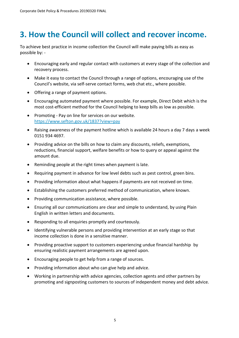# **3. How the Council will collect and recover income.**

To achieve best practice in income collection the Council will make paying bills as easy as possible by: -

- Encouraging early and regular contact with customers at every stage of the collection and recovery process.
- Make it easy to contact the Council through a range of options, encouraging use of the Council's website, via self-serve contact forms, web chat etc., where possible.
- Offering a range of payment options.
- Encouraging automated payment where possible. For example, Direct Debit which is the most cost-efficient method for the Council helping to keep bills as low as possible.
- Promoting Pay on line for services on our website. <https://www.sefton.gov.uk/1837?view=pay>
- Raising awareness of the payment hotline which is available 24 hours a day 7 days a week 0151 934 4697.
- Providing advice on the bills on how to claim any discounts, reliefs, exemptions, reductions, financial support, welfare benefits or how to query or appeal against the amount due.
- Reminding people at the right times when payment is late.
- Requiring payment in advance for low level debts such as pest control, green bins.
- Providing information about what happens if payments are not received on time.
- Establishing the customers preferred method of communication, where known.
- Providing communication assistance, where possible.
- Ensuring all our communications are clear and simple to understand, by using Plain English in written letters and documents.
- Responding to all enquiries promptly and courteously.
- Identifying vulnerable persons and providing intervention at an early stage so that income collection is done in a sensitive manner.
- Providing proactive support to customers experiencing undue financial hardship by ensuring realistic payment arrangements are agreed upon.
- Encouraging people to get help from a range of sources.
- Providing information about who can give help and advice.
- Working in partnership with advice agencies, collection agents and other partners by promoting and signposting customers to sources of independent money and debt advice.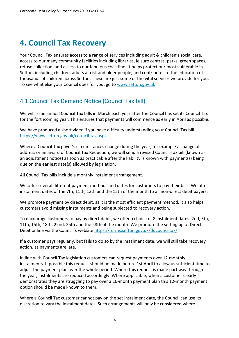# **4. Council Tax Recovery**

Your Council Tax ensures access to a range of services including adult & children's social care, access to our many community facilities including libraries, leisure centres, parks, green spaces, refuse collection, and access to our fabulous coastline. It helps protect our most vulnerable in Sefton, including children, adults at risk and older people, and contributes to the education of thousands of children across Sefton. These are just some of the vital services we provide for you. To see what else your Council does for you, go to [www.sefton.gov.uk](http://www.sefton.gov.uk/)

# 4.1 Council Tax Demand Notice (Council Tax bill)

We will issue annual Council Tax bills in March each year after the Council has set its Council Tax for the forthcoming year. This ensures that payments will commence as early in April as possible.

We have produced a short video if you have difficulty understanding your Council Tax bill <https://www.sefton.gov.uk/council-tax.aspx>

Where a Council Tax payer's circumstances change during the year, for example a change of address or an award of Council Tax Reduction, we will send a revised Council Tax bill (known as an adjustment notice) as soon as practicable after the liability is known with payment(s) being due on the earliest date(s) allowed by legislation.

All Council Tax bills include a monthly instalment arrangement.

We offer several different payment methods and dates for customers to pay their bills. We offer instalment dates of the 7th, 11th, 13th and the 15th of the month to all non-direct debit payers.

We promote payment by direct debit, as it is the most efficient payment method. It also helps customers avoid missing instalments and being subjected to recovery action.

To encourage customers to pay by direct debit, we offer a choice of 8 instalment dates: 2nd, 5th, 11th, 15th, 18th, 22nd, 25th and the 28th of the month. We promote the setting up of Direct Debit online via the Council's website <https://forms.sefton.gov.uk/ddcounciltax/>

If a customer pays regularly, but fails to do so by the instalment date, we will still take recovery action, as payments are late.

In line with Council Tax legislation customers can request payments over 12 monthly instalments. If possible this request should be made before 1st April to allow us sufficient time to adjust the payment plan over the whole period. Where this request is made part way through the year, instalments are reduced accordingly. Where applicable, when a customer clearly demonstrates they are struggling to pay over a 10-month payment plan this 12-month payment option should be made known to them.

Where a Council Tax customer cannot pay on the set instalment date, the Council can use its discretion to vary the instalment dates. Such arrangements will only be considered where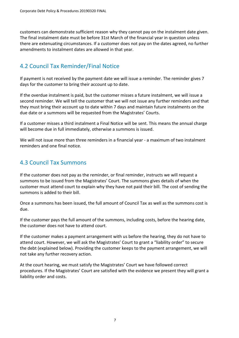customers can demonstrate sufficient reason why they cannot pay on the instalment date given. The final instalment date must be before 31st March of the financial year in question unless there are extenuating circumstances. If a customer does not pay on the dates agreed, no further amendments to instalment dates are allowed in that year.

# 4.2 Council Tax Reminder/Final Notice

If payment is not received by the payment date we will issue a reminder. The reminder gives 7 days for the customer to bring their account up to date.

If the overdue instalment is paid, but the customer misses a future instalment, we will issue a second reminder. We will tell the customer that we will not issue any further reminders and that they must bring their account up to date within 7 days and maintain future instalments on the due date or a summons will be requested from the Magistrates' Courts.

If a customer misses a third instalment a Final Notice will be sent. This means the annual charge will become due in full immediately, otherwise a summons is issued.

We will not issue more than three reminders in a financial year - a maximum of two instalment reminders and one final notice.

### 4.3 Council Tax Summons

If the customer does not pay as the reminder, or final reminder, instructs we will request a summons to be issued from the Magistrates' Court. The summons gives details of when the customer must attend court to explain why they have not paid their bill. The cost of sending the summons is added to their bill.

Once a summons has been issued, the full amount of Council Tax as well as the summons cost is due.

If the customer pays the full amount of the summons, including costs, before the hearing date, the customer does not have to attend court.

If the customer makes a payment arrangement with us before the hearing, they do not have to attend court. However, we will ask the Magistrates' Court to grant a "liability order" to secure the debt (explained below). Providing the customer keeps to the payment arrangement, we will not take any further recovery action.

At the court hearing, we must satisfy the Magistrates' Court we have followed correct procedures. If the Magistrates' Court are satisfied with the evidence we present they will grant a liability order and costs.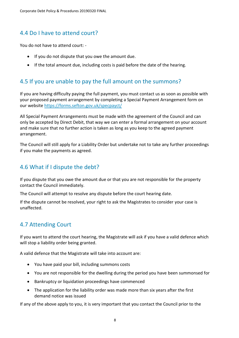# 4.4 Do I have to attend court?

You do not have to attend court: -

- If you do not dispute that you owe the amount due.
- If the total amount due, including costs is paid before the date of the hearing.

#### 4.5 If you are unable to pay the full amount on the summons?

If you are having difficulty paying the full payment, you must contact us as soon as possible with your proposed payment arrangement by completing a Special Payment Arrangement form on our website <https://forms.sefton.gov.uk/specpayct/>

All Special Payment Arrangements must be made with the agreement of the Council and can only be accepted by Direct Debit, that way we can enter a formal arrangement on your account and make sure that no further action is taken as long as you keep to the agreed payment arrangement.

The Council will still apply for a Liability Order but undertake not to take any further proceedings if you make the payments as agreed.

### 4.6 What if I dispute the debt?

If you dispute that you owe the amount due or that you are not responsible for the property contact the Council immediately.

The Council will attempt to resolve any dispute before the court hearing date.

If the dispute cannot be resolved, your right to ask the Magistrates to consider your case is unaffected.

#### 4.7 Attending Court

If you want to attend the court hearing, the Magistrate will ask if you have a valid defence which will stop a liability order being granted.

A valid defence that the Magistrate will take into account are:

- You have paid your bill, including summons costs
- You are not responsible for the dwelling during the period you have been summonsed for
- Bankruptcy or liquidation proceedings have commenced
- The application for the liability order was made more than six years after the first demand notice was issued

If any of the above apply to you, it is very important that you contact the Council prior to the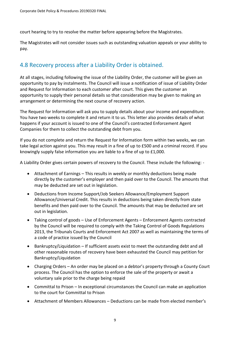court hearing to try to resolve the matter before appearing before the Magistrates.

The Magistrates will not consider issues such as outstanding valuation appeals or your ability to pay.

# 4.8 Recovery process after a Liability Order is obtained.

At all stages, including following the issue of the Liability Order, the customer will be given an opportunity to pay by instalments. The Council will issue a notification of issue of Liability Order and Request for Information to each customer after court. This gives the customer an opportunity to supply their personal details so that consideration may be given to making an arrangement or determining the next course of recovery action.

The Request for Information will ask you to supply details about your income and expenditure. You have two weeks to complete it and return it to us. This letter also provides details of what happens if your account is issued to one of the Council's contracted Enforcement Agent Companies for them to collect the outstanding debt from you.

If you do not complete and return the Request for Information form within two weeks, we can take legal action against you. This may result in a fine of up to £500 and a criminal record. If you knowingly supply false information you are liable to a fine of up to £1,000.

A Liability Order gives certain powers of recovery to the Council. These include the following: -

- Attachment of Earnings This results in weekly or monthly deductions being made directly by the customer's employer and then paid over to the Council. The amounts that may be deducted are set out in legislation.
- Deductions from Income Support/Job Seekers Allowance/Employment Support Allowance/Universal Credit. This results in deductions being taken directly from state benefits and then paid over to the Council. The amounts that may be deducted are set out in legislation.
- Taking control of goods Use of Enforcement Agents Enforcement Agents contracted by the Council will be required to comply with the Taking Control of Goods Regulations 2013, the Tribunals Courts and Enforcement Act 2007 as well as maintaining the terms of a code of practice issued by the Council
- Bankruptcy/Liquidation If sufficient assets exist to meet the outstanding debt and all other reasonable routes of recovery have been exhausted the Council may petition for Bankruptcy/Liquidation
- Charging Orders An order may be placed on a debtor's property through a County Court process. The Council has the option to enforce the sale of the property or await a voluntary sale prior to the charge being repaid
- Committal to Prison In exceptional circumstances the Council can make an application to the court for Committal to Prison
- Attachment of Members Allowances Deductions can be made from elected member's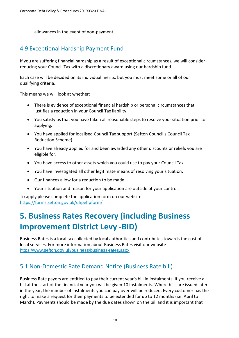allowances in the event of non-payment.

### 4.9 Exceptional Hardship Payment Fund

If you are suffering financial hardship as a result of exceptional circumstances, we will consider reducing your Council Tax with a discretionary award using our hardship fund.

Each case will be decided on its individual merits, but you must meet some or all of our qualifying criteria.

This means we will look at whether:

- There is evidence of exceptional financial hardship or personal circumstances that justifies a reduction in your Council Tax liability.
- You satisfy us that you have taken all reasonable steps to resolve your situation prior to applying.
- You have applied for localised Council Tax support (Sefton Council's Council Tax Reduction Scheme).
- You have already applied for and been awarded any other discounts or reliefs you are eligible for.
- You have access to other assets which you could use to pay your Council Tax.
- You have investigated all other legitimate means of resolving your situation.
- Our finances allow for a reduction to be made.
- Your situation and reason for your application are outside of your control.

To apply please complete the application form on our website <https://forms.sefton.gov.uk/dhpehpform/>

# **5. Business Rates Recovery (including Business Improvement District Levy -BID)**

Business Rates is a local tax collected by local authorities and contributes towards the cost of local services. For more information about Business Rates visit our website <https://www.sefton.gov.uk/business/business-rates.aspx>

# 5.1 Non-Domestic Rate Demand Notice (Business Rate bill)

Business Rate payers are entitled to pay their current year's bill in instalments. If you receive a bill at the start of the financial year you will be given 10 instalments. Where bills are issued later in the year, the number of instalments you can pay over will be reduced. Every customer has the right to make a request for their payments to be extended for up to 12 months (i.e. April to March). Payments should be made by the due dates shown on the bill and it is important that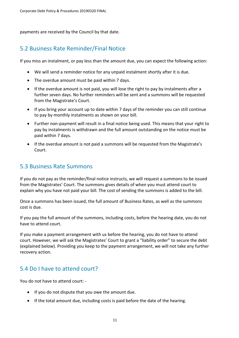payments are received by the Council by that date.

### 5.2 Business Rate Reminder/Final Notice

If you miss an instalment, or pay less than the amount due, you can expect the following action:

- We will send a reminder notice for any unpaid instalment shortly after it is due.
- The overdue amount must be paid within 7 days.
- If the overdue amount is not paid, you will lose the right to pay by instalments after a further seven days. No further reminders will be sent and a summons will be requested from the Magistrate's Court.
- If you bring your account up to date within 7 days of the reminder you can still continue to pay by monthly instalments as shown on your bill.
- Further non-payment will result in a final notice being used. This means that your right to pay by instalments is withdrawn and the full amount outstanding on the notice must be paid within 7 days.
- If the overdue amount is not paid a summons will be requested from the Magistrate's Court.

#### 5.3 Business Rate Summons

If you do not pay as the reminder/final notice instructs, we will request a summons to be issued from the Magistrates' Court. The summons gives details of when you must attend court to explain why you have not paid your bill. The cost of sending the summons is added to the bill.

Once a summons has been issued, the full amount of Business Rates, as well as the summons cost is due.

If you pay the full amount of the summons, including costs, before the hearing date, you do not have to attend court.

If you make a payment arrangement with us before the hearing, you do not have to attend court. However, we will ask the Magistrates' Court to grant a "liability order" to secure the debt (explained below). Providing you keep to the payment arrangement, we will not take any further recovery action.

#### 5.4 Do I have to attend court?

You do not have to attend court: -

- If you do not dispute that you owe the amount due.
- If the total amount due, including costs is paid before the date of the hearing.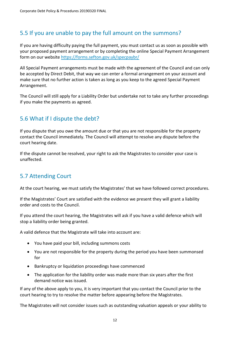### 5.5 If you are unable to pay the full amount on the summons?

If you are having difficulty paying the full payment, you must contact us as soon as possible with your proposed payment arrangement or by completing the online Special Payment Arrangement form on our website<https://forms.sefton.gov.uk/specpaybr/>

All Special Payment arrangements must be made with the agreement of the Council and can only be accepted by Direct Debit, that way we can enter a formal arrangement on your account and make sure that no further action is taken as long as you keep to the agreed Special Payment Arrangement.

The Council will still apply for a Liability Order but undertake not to take any further proceedings if you make the payments as agreed.

#### 5.6 What if I dispute the debt?

If you dispute that you owe the amount due or that you are not responsible for the property contact the Council immediately. The Council will attempt to resolve any dispute before the court hearing date.

If the dispute cannot be resolved, your right to ask the Magistrates to consider your case is unaffected.

# 5.7 Attending Court

At the court hearing, we must satisfy the Magistrates' that we have followed correct procedures.

If the Magistrates' Court are satisfied with the evidence we present they will grant a liability order and costs to the Council.

If you attend the court hearing, the Magistrates will ask if you have a valid defence which will stop a liability order being granted.

A valid defence that the Magistrate will take into account are:

- You have paid your bill, including summons costs
- You are not responsible for the property during the period you have been summonsed for
- Bankruptcy or liquidation proceedings have commenced
- The application for the liability order was made more than six years after the first demand notice was issued.

If any of the above apply to you, it is very important that you contact the Council prior to the court hearing to try to resolve the matter before appearing before the Magistrates.

The Magistrates will not consider issues such as outstanding valuation appeals or your ability to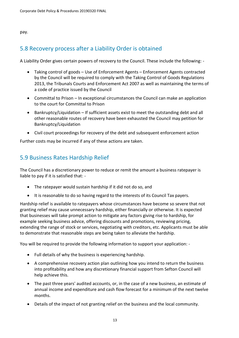pay.

### 5.8 Recovery process after a Liability Order is obtained

A Liability Order gives certain powers of recovery to the Council. These include the following: -

- Taking control of goods Use of Enforcement Agents Enforcement Agents contracted by the Council will be required to comply with the Taking Control of Goods Regulations 2013, the Tribunals Courts and Enforcement Act 2007 as well as maintaining the terms of a code of practice issued by the Council
- Committal to Prison In exceptional circumstances the Council can make an application to the court for Committal to Prison
- Bankruptcy/Liquidation If sufficient assets exist to meet the outstanding debt and all other reasonable routes of recovery have been exhausted the Council may petition for Bankruptcy/Liquidation
- Civil court proceedings for recovery of the debt and subsequent enforcement action

Further costs may be incurred if any of these actions are taken.

#### 5.9 Business Rates Hardship Relief

The Council has a discretionary power to reduce or remit the amount a business ratepayer is liable to pay if it is satisfied that: -

- The ratepayer would sustain hardship if it did not do so, and
- It is reasonable to do so having regard to the interests of its Council Tax payers.

Hardship relief is available to ratepayers whose circumstances have become so severe that not granting relief may cause unnecessary hardship, either financially or otherwise. It is expected that businesses will take prompt action to mitigate any factors giving rise to hardship, for example seeking business advice, offering discounts and promotions, reviewing pricing, extending the range of stock or services, negotiating with creditors, etc. Applicants must be able to demonstrate that reasonable steps are being taken to alleviate the hardship.

You will be required to provide the following information to support your application: -

- Full details of why the business is experiencing hardship.
- A comprehensive recovery action plan outlining how you intend to return the business into profitability and how any discretionary financial support from Sefton Council will help achieve this.
- The past three years' audited accounts, or, in the case of a new business, an estimate of annual income and expenditure and cash flow forecast for a minimum of the next twelve months.
- Details of the impact of not granting relief on the business and the local community.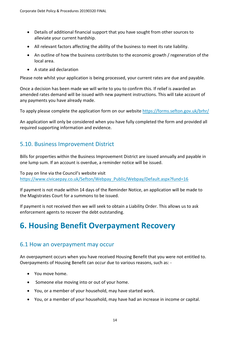- Details of additional financial support that you have sought from other sources to alleviate your current hardship.
- All relevant factors affecting the ability of the business to meet its rate liability.
- An outline of how the business contributes to the economic growth / regeneration of the local area.
- A state aid declaration

Please note whilst your application is being processed, your current rates are due and payable.

Once a decision has been made we will write to you to confirm this. If relief is awarded an amended rates demand will be issued with new payment instructions. This will take account of any payments you have already made.

To apply please complete the application form on our website <https://forms.sefton.gov.uk/brhr/>

An application will only be considered when you have fully completed the form and provided all required supporting information and evidence.

#### 5.10. Business Improvement District

Bills for properties within the Business Improvement District are issued annually and payable in one lump sum. If an account is overdue, a reminder notice will be issued.

To pay on line via the Council's website visit [https://www.civicaepay.co.uk/Sefton/Webpay\\_Public/Webpay/Default.aspx?fund=16](https://www.civicaepay.co.uk/Sefton/Webpay_Public/Webpay/Default.aspx?fund=16)

If payment is not made within 14 days of the Reminder Notice, an application will be made to the Magistrates Court for a summons to be issued.

If payment is not received then we will seek to obtain a Liability Order. This allows us to ask enforcement agents to recover the debt outstanding.

# **6. Housing Benefit Overpayment Recovery**

#### 6.1 How an overpayment may occur

An overpayment occurs when you have received Housing Benefit that you were not entitled to. Overpayments of Housing Benefit can occur due to various reasons, such as: -

- You move home.
- Someone else moving into or out of your home.
- You, or a member of your household, may have started work.
- You, or a member of your household, may have had an increase in income or capital.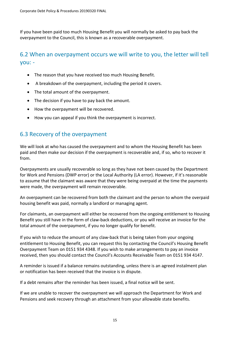If you have been paid too much Housing Benefit you will normally be asked to pay back the overpayment to the Council, this is known as a recoverable overpayment.

# 6.2 When an overpayment occurs we will write to you, the letter will tell you: -

- The reason that you have received too much Housing Benefit.
- A breakdown of the overpayment, including the period it covers.
- The total amount of the overpayment.
- The decision if you have to pay back the amount.
- How the overpayment will be recovered.
- How you can appeal if you think the overpayment is incorrect.

### 6.3 Recovery of the overpayment

We will look at who has caused the overpayment and to whom the Housing Benefit has been paid and then make our decision if the overpayment is recoverable and, if so, who to recover it from.

Overpayments are usually recoverable so long as they have not been caused by the Department for Work and Pensions (DWP error) or the Local Authority (LA error). However, if it's reasonable to assume that the claimant was aware that they were being overpaid at the time the payments were made, the overpayment will remain recoverable.

An overpayment can be recovered from both the claimant and the person to whom the overpaid housing benefit was paid, normally a landlord or managing agent.

For claimants, an overpayment will either be recovered from the ongoing entitlement to Housing Benefit you still have in the form of claw-back deductions, or you will receive an invoice for the total amount of the overpayment, if you no longer qualify for benefit.

If you wish to reduce the amount of any claw-back that is being taken from your ongoing entitlement to Housing Benefit, you can request this by contacting the Council's Housing Benefit Overpayment Team on 0151 934 4348. If you wish to make arrangements to pay an invoice received, then you should contact the Council's Accounts Receivable Team on 0151 934 4147.

A reminder is issued if a balance remains outstanding, unless there is an agreed instalment plan or notification has been received that the invoice is in dispute.

If a debt remains after the reminder has been issued, a final notice will be sent.

If we are unable to recover the overpayment we will approach the Department for Work and Pensions and seek recovery through an attachment from your allowable state benefits.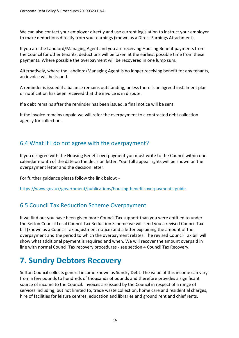We can also contact your employer directly and use current legislation to instruct your employer to make deductions directly from your earnings (known as a Direct Earnings Attachment).

If you are the Landlord/Managing Agent and you are receiving Housing Benefit payments from the Council for other tenants, deductions will be taken at the earliest possible time from these payments. Where possible the overpayment will be recovered in one lump sum.

Alternatively, where the Landlord/Managing Agent is no longer receiving benefit for any tenants, an invoice will be issued.

A reminder is issued if a balance remains outstanding, unless there is an agreed instalment plan or notification has been received that the invoice is in dispute.

If a debt remains after the reminder has been issued, a final notice will be sent.

If the invoice remains unpaid we will refer the overpayment to a contracted debt collection agency for collection.

#### 6.4 What if I do not agree with the overpayment?

If you disagree with the Housing Benefit overpayment you must write to the Council within one calendar month of the date on the decision letter. Your full appeal rights will be shown on the overpayment letter and the decision letter.

For further guidance please follow the link below: -

<https://www.gov.uk/government/publications/housing-benefit-overpayments-guide>

#### 6.5 Council Tax Reduction Scheme Overpayment

If we find out you have been given more Council Tax support than you were entitled to under the Sefton Council Local Council Tax Reduction Scheme we will send you a revised Council Tax bill (known as a Council Tax adjustment notice) and a letter explaining the amount of the overpayment and the period to which the overpayment relates. The revised Council Tax bill will show what additional payment is required and when. We will recover the amount overpaid in line with normal Council Tax recovery procedures - see section 4 Council Tax Recovery.

# **7. Sundry Debtors Recovery**

Sefton Council collects general income known as Sundry Debt. The value of this income can vary from a few pounds to hundreds of thousands of pounds and therefore provides a significant source of income to the Council. Invoices are issued by the Council in respect of a range of services including, but not limited to, trade waste collection, home care and residential charges, hire of facilities for leisure centres, education and libraries and ground rent and chief rents.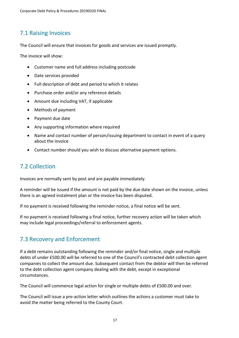# 7.1 Raising Invoices

The Council will ensure that invoices for goods and services are issued promptly.

The invoice will show:

- Customer name and full address including postcode
- Date services provided
- Full description of debt and period to which it relates
- Purchase order and/or any reference details
- Amount due including VAT, if applicable
- Methods of payment
- Payment due date
- Any supporting information where required
- Name and contact number of person/issuing department to contact in event of a query about the invoice
- Contact number should you wish to discuss alternative payment options.

# 7.2 Collection

Invoices are normally sent by post and are payable immediately.

A reminder will be issued if the amount is not paid by the due date shown on the invoice, unless there is an agreed instalment plan or the invoice has been disputed.

If no payment is received following the reminder notice, a final notice will be sent.

If no payment is received following a final notice, further recovery action will be taken which may include legal proceedings/referral to enforcement agents.

#### 7.3 Recovery and Enforcement

If a debt remains outstanding following the reminder and/or final notice, single and multiple debts of under £500.00 will be referred to one of the Council's contracted debt collection agent companies to collect the amount due. Subsequent contact from the debtor will then be referred to the debt collection agent company dealing with the debt, except in exceptional circumstances.

The Council will commence legal action for single or multiple debts of £500.00 and over.

The Council will issue a pre-action letter which outlines the actions a customer must take to avoid the matter being referred to the County Court.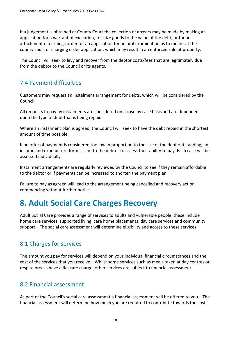If a judgement is obtained at County Court the collection of arrears may be made by making an application for a warrant of execution, to seize goods to the value of the debt, or for an attachment of earnings order, or an application for an oral examination as to means at the county court or charging order application, which may result in an enforced sale of property.

The Council will seek to levy and recover from the debtor costs/fees that are legitimately due from the debtor to the Council or its agents.

# 7.4 Payment difficulties

Customers may request an instalment arrangement for debts, which will be considered by the Council.

All requests to pay by instalments are considered on a case by case basis and are dependent upon the type of debt that is being repaid.

Where an instalment plan is agreed, the Council will seek to have the debt repaid in the shortest amount of time possible.

If an offer of payment is considered too low in proportion to the size of the debt outstanding, an income and expenditure form is sent to the debtor to assess their ability to pay. Each case will be assessed individually.

Instalment arrangements are regularly reviewed by the Council to see if they remain affordable to the debtor or if payments can be increased to shorten the payment plan.

Failure to pay as agreed will lead to the arrangement being cancelled and recovery action commencing without further notice.

# **8. Adult Social Care Charges Recovery**

Adult Social Care provides a range of services to adults and vulnerable people, these include home care services, supported living, care home placements, day care services and community support. The social care assessment will determine eligibility and access to these services

# 8.1 Charges for services

The amount you pay for services will depend on your individual financial circumstances and the cost of the services that you receive. Whilst some services such as meals taken at day centres or respite breaks have a flat rate charge, other services are subject to financial assessment.

#### 8.2 Financial assessment

As part of the Council's social care assessment a financial assessment will be offered to you. The financial assessment will determine how much you are required to contribute towards the cost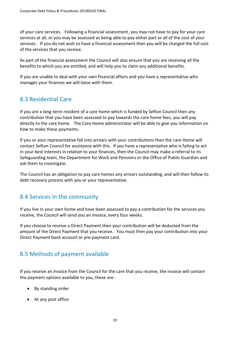of your care services. Following a financial assessment, you may not have to pay for your care services at all, or you may be assessed as being able to pay either part or all of the cost of your services. If you do not wish to have a financial assessment then you will be charged the full cost of the services that you receive.

As part of the financial assessment the Council will also ensure that you are receiving all the benefits to which you are entitled, and will help you to claim any additional benefits.

If you are unable to deal with your own financial affairs and you have a representative who manages your finances we will liaise with them.

# 8.3 Residential Care

If you are a long-term resident of a care home which is funded by Sefton Council then any contribution that you have been assessed to pay towards the care home fees, you will pay directly to the care home. The Care Home administrator will be able to give you information on how to make these payments.

If you or your representative fall into arrears with your contributions then the care Home will contact Sefton Council for assistance with this. If you have a representative who is failing to act in your best interests in relation to your finances, then the Council may make a referral to its Safeguarding team, the Department for Work and Pensions or the Office of Public Guardian and ask them to investigate.

The Council has an obligation to pay care homes any arrears outstanding, and will then follow its debt recovery process with you or your representative.

#### 8.4 Services in the community

If you live in your own home and have been assessed to pay a contribution for the services you receive, the Council will send you an invoice, every four weeks.

If you choose to receive a Direct Payment then your contribution will be deducted from the amount of the Direct Payment that you receive. You must then pay your contribution into your Direct Payment bank account or pre-payment card.

# 8.5 Methods of payment available

If you receive an invoice from the Council for the care that you receive, the invoice will contain the payment options available to you, these are:

- By standing order
- At any post office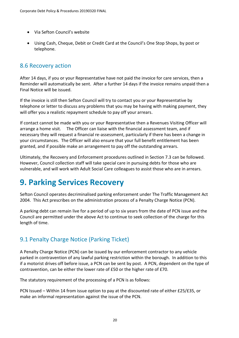- Via Sefton Council's website
- Using Cash, Cheque, Debit or Credit Card at the Council's One Stop Shops, by post or telephone.

#### 8.6 Recovery action

After 14 days, if you or your Representative have not paid the invoice for care services, then a Reminder will automatically be sent. After a further 14 days if the invoice remains unpaid then a Final Notice will be issued.

If the invoice is still then Sefton Council will try to contact you or your Representative by telephone or letter to discuss any problems that you may be having with making payment, they will offer you a realistic repayment schedule to pay off your arrears.

If contact cannot be made with you or your Representative then a Revenues Visiting Officer will arrange a home visit. The Officer can liaise with the financial assessment team, and if necessary they will request a financial re-assessment, particularly if there has been a change in your circumstances. The Officer will also ensure that your full benefit entitlement has been granted, and if possible make an arrangement to pay off the outstanding arrears.

Ultimately, the Recovery and Enforcement procedures outlined in Section 7.3 can be followed. However, Council collection staff will take special care in pursuing debts for those who are vulnerable, and will work with Adult Social Care colleagues to assist those who are in arrears.

# **9. Parking Services Recovery**

Sefton Council operates decriminalised parking enforcement under The Traffic Management Act 2004. This Act prescribes on the administration process of a Penalty Charge Notice (PCN).

A parking debt can remain live for a period of up to six years from the date of PCN issue and the Council are permitted under the above Act to continue to seek collection of the charge for this length of time.

#### 9.1 Penalty Charge Notice (Parking Ticket)

A Penalty Charge Notice (PCN) can be issued by our enforcement contractor to any vehicle parked in contravention of any lawful parking restriction within the borough. In addition to this if a motorist drives off before issue, a PCN can be sent by post. A PCN, dependent on the type of contravention, can be either the lower rate of £50 or the higher rate of £70.

The statutory requirement of the processing of a PCN is as follows:

PCN Issued – Within 14 from issue option to pay at the discounted rate of either £25/£35, or make an informal representation against the issue of the PCN.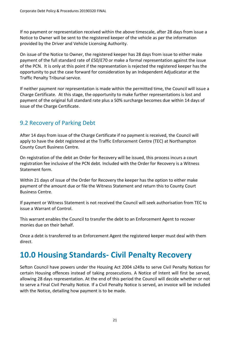If no payment or representation received within the above timescale, after 28 days from issue a Notice to Owner will be sent to the registered keeper of the vehicle as per the information provided by the Driver and Vehicle Licensing Authority.

On issue of the Notice to Owner, the registered keeper has 28 days from issue to either make payment of the full standard rate of £50/£70 or make a formal representation against the issue of the PCN. It is only at this point if the representation is rejected the registered keeper has the opportunity to put the case forward for consideration by an Independent Adjudicator at the Traffic Penalty Tribunal service.

If neither payment nor representation is made within the permitted time, the Council will issue a Charge Certificate. At this stage, the opportunity to make further representations is lost and payment of the original full standard rate plus a 50% surcharge becomes due within 14 days of issue of the Charge Certificate.

# 9.2 Recovery of Parking Debt

After 14 days from issue of the Charge Certificate if no payment is received, the Council will apply to have the debt registered at the Traffic Enforcement Centre (TEC) at Northampton County Court Business Centre.

On registration of the debt an Order for Recovery will be issued, this process incurs a court registration fee inclusive of the PCN debt. Included with the Order for Recovery is a Witness Statement form.

Within 21 days of issue of the Order for Recovery the keeper has the option to either make payment of the amount due or file the Witness Statement and return this to County Court Business Centre.

If payment or Witness Statement is not received the Council will seek authorisation from TEC to issue a Warrant of Control.

This warrant enables the Council to transfer the debt to an Enforcement Agent to recover monies due on their behalf.

Once a debt is transferred to an Enforcement Agent the registered keeper must deal with them direct.

# **10.0 Housing Standards- Civil Penalty Recovery**

Sefton Council have powers under the Housing Act 2004 s249a to serve Civil Penalty Notices for certain Housing offences instead of taking prosecutions. A Notice of Intent will first be served, allowing 28 days representation. At the end of this period the Council will decide whether or not to serve a Final Civil Penalty Notice. If a Civil Penalty Notice is served, an invoice will be included with the Notice, detailing how payment is to be made.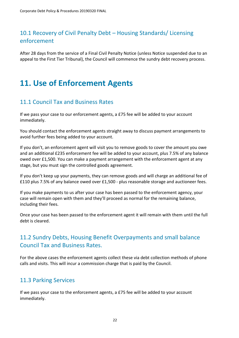# 10.1 Recovery of Civil Penalty Debt – Housing Standards/ Licensing enforcement

After 28 days from the service of a Final Civil Penalty Notice (unless Notice suspended due to an appeal to the First Tier Tribunal), the Council will commence the sundry debt recovery process.

# **11. Use of Enforcement Agents**

# 11.1 Council Tax and Business Rates

If we pass your case to our enforcement agents, a £75 fee will be added to your account immediately.

You should contact the enforcement agents straight away to discuss payment arrangements to avoid further fees being added to your account.

If you don't, an enforcement agent will visit you to remove goods to cover the amount you owe and an additional £235 enforcement fee will be added to your account, plus 7.5% of any balance owed over £1,500. You can make a payment arrangement with the enforcement agent at any stage, but you must sign the controlled goods agreement.

If you don't keep up your payments, they can remove goods and will charge an additional fee of £110 plus 7.5% of any balance owed over £1,500 - plus reasonable storage and auctioneer fees.

If you make payments to us after your case has been passed to the enforcement agency, your case will remain open with them and they'll proceed as normal for the remaining balance, including their fees.

Once your case has been passed to the enforcement agent it will remain with them until the full debt is cleared.

# 11.2 Sundry Debts, Housing Benefit Overpayments and small balance Council Tax and Business Rates.

For the above cases the enforcement agents collect these via debt collection methods of phone calls and visits. This will incur a commission charge that is paid by the Council.

# 11.3 Parking Services

If we pass your case to the enforcement agents, a £75 fee will be added to your account immediately.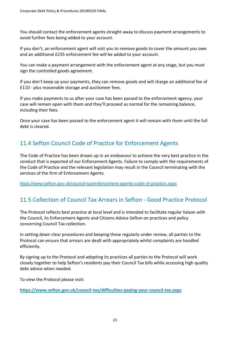You should contact the enforcement agents straight away to discuss payment arrangements to avoid further fees being added to your account.

If you don't, an enforcement agent will visit you to remove goods to cover the amount you owe and an additional £235 enforcement fee will be added to your account.

You can make a payment arrangement with the enforcement agent at any stage, but you must sign the controlled goods agreement.

If you don't keep up your payments, they can remove goods and will charge an additional fee of £110 - plus reasonable storage and auctioneer fees.

If you make payments to us after your case has been passed to the enforcement agency, your case will remain open with them and they'll proceed as normal for the remaining balance, including their fees.

Once your case has been passed to the enforcement agent it will remain with them until the full debt is cleared.

# 11.4 Sefton Council Code of Practice for Enforcement Agents

The Code of Practice has been drawn up in an endeavour to achieve the very best practice in the conduct that is expected of our Enforcement Agents. Failure to comply with the requirements of the Code of Practice and the relevant legislation may result in the Council terminating with the services of the firm of Enforcement Agents.

[https://www.sefton.gov.uk/council-tax/enforcement-agents-code-of-practice.aspx](http://www.sefton.gov.uk/council-tax/enforcement-agents-code-of-practice.aspx)

# 11.5 Collection of Council Tax Arrears in Sefton - Good Practice Protocol

The Protocol reflects best practice at local level and is intended to facilitate regular liaison with the Council, its Enforcement Agents and Citizens Advice Sefton on practices and policy concerning Council Tax collection.

In setting down clear procedures and keeping these regularly under review, all parties to the Protocol can ensure that arrears are dealt with appropriately whilst complaints are handled efficiently.

By signing up to the Protocol and adopting its practices all parties to the Protocol will work closely together to help Sefton's residents pay their Council Tax bills while accessing high quality debt advice when needed.

To view the Protocol please visit:

**<https://www.sefton.gov.uk/council-tax/difficulties-paying-your-council-tax.aspx>**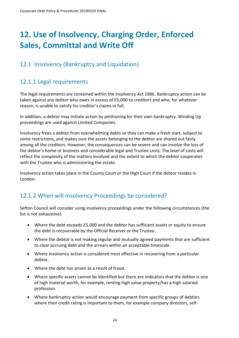# **12. Use of Insolvency, Charging Order, Enforced Sales, Committal and Write Off**

# 12.1 Insolvency (Bankruptcy and Liquidation)

# 12.1.1 Legal requirements

The legal requirements are contained within the Insolvency Act 1986. Bankruptcy action can be taken against any debtor who owes in excess of £5,000 to creditors and who, for whatever reason, is unable to satisfy his creditor's claims in full.

In addition, a debtor may initiate action by petitioning for their own bankruptcy. Winding Up proceedings are used against Limited Companies.

Insolvency frees a debtor from overwhelming debts so they can make a fresh start, subject to some restrictions, and makes sure the assets belonging to the debtor are shared out fairly among all the creditors. However, the consequences can be severe and can involve the loss of the debtor's home or business and considerable legal and Trustee costs. The level of costs will reflect the complexity of the matters involved and the extent to which the debtor cooperates with the Trustee who is administering the estate.

Insolvency action takes place in the County Court or the High Court if the debtor resides in London.

# 12.1.2 When will Insolvency Proceedings be considered?

Sefton Council will consider using insolvency proceedings under the following circumstances (the list is not exhaustive):

- Where the debt exceeds £5,000 and the debtor has sufficient assets or equity to ensure the debt is recoverable by the Official Receiver or the Trustee.
- Where the debtor is not making regular and mutually agreed payments that are sufficient to clear accruing debt and the arrears within an acceptable timescale.
- Where insolvency action is considered most effective in recovering from a particular debtor.
- Where the debt has arisen as a result of fraud.
- Where specific assets cannot be identified but there are indicators that the debtor is one of high material worth, for example, renting high value property/has a high salaried profession.
- Where bankruptcy action would encourage payment from specific groups of debtors where their credit rating is important to them, for example company directors, self-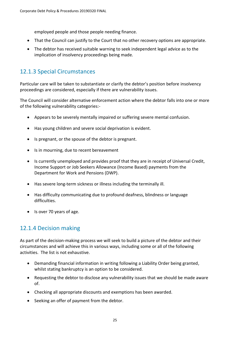employed people and those people needing finance.

- That the Council can justify to the Court that no other recovery options are appropriate.
- The debtor has received suitable warning to seek independent legal advice as to the implication of insolvency proceedings being made.

### 12.1.3 Special Circumstances

Particular care will be taken to substantiate or clarify the debtor's position before insolvency proceedings are considered, especially if there are vulnerability issues.

The Council will consider alternative enforcement action where the debtor falls into one or more of the following vulnerability categories:-

- Appears to be severely mentally impaired or suffering severe mental confusion.
- Has young children and severe social deprivation is evident.
- Is pregnant, or the spouse of the debtor is pregnant.
- Is in mourning, due to recent bereavement
- Is currently unemployed and provides proof that they are in receipt of Universal Credit, Income Support or Job Seekers Allowance (Income Based) payments from the Department for Work and Pensions (DWP).
- Has severe long-term sickness or illness including the terminally ill.
- Has difficulty communicating due to profound deafness, blindness or language difficulties.
- Is over 70 years of age.

#### 12.1.4 Decision making

As part of the decision-making process we will seek to build a picture of the debtor and their circumstances and will achieve this in various ways, including some or all of the following activities. The list is not exhaustive.

- Demanding financial information in writing following a Liability Order being granted, whilst stating bankruptcy is an option to be considered.
- Requesting the debtor to disclose any vulnerability issues that we should be made aware of.
- Checking all appropriate discounts and exemptions has been awarded.
- Seeking an offer of payment from the debtor.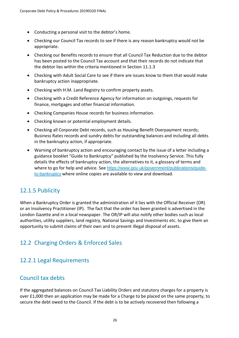- Conducting a personal visit to the debtor's home.
- Checking our Council Tax records to see if there is any reason bankruptcy would not be appropriate.
- Checking our Benefits records to ensure that all Council Tax Reduction due to the debtor has been posted to the Council Tax account and that their records do not indicate that the debtor lies within the criteria mentioned in Section 11.1.3
- Checking with Adult Social Care to see if there are issues know to them that would make bankruptcy action inappropriate.
- Checking with H.M. Land Registry to confirm property assets.
- Checking with a Credit Reference Agency for information on outgoings, requests for finance, mortgages and other financial information.
- Checking Companies House records for business information.
- Checking known or potential employment details.
- Checking all Corporate Debt records, such as Housing Benefit Overpayment records; Business Rates records and sundry debts for outstanding balances and including all debts in the bankruptcy action, if appropriate.
- Warning of bankruptcy action and encouraging contact by the issue of a letter including a guidance booklet "Guide to Bankruptcy" published by the Insolvency Service. This fully details the effects of bankruptcy action, the alternatives to it, a glossary of terms and where to go for help and advice. See [https://www.gov.uk/government/publications/guide](https://www.gov.uk/government/publications/guide-to-bankruptcy)[to-bankruptcy](https://www.gov.uk/government/publications/guide-to-bankruptcy) where online copies are available to view and download.

#### 12.1.5 Publicity

When a Bankruptcy Order is granted the administration of it lies with the Official Receiver (OR) or an Insolvency Practitioner (IP). The fact that the order has been granted is advertised in the London Gazette and in a local newspaper. The OR/IP will also notify other bodies such as local authorities, utility suppliers, land registry, National Savings and Investments etc. to give them an opportunity to submit claims of their own and to prevent illegal disposal of assets.

#### 12.2 Charging Orders & Enforced Sales

#### 12.2.1 Legal Requirements

#### Council tax debts

If the aggregated balances on Council Tax Liability Orders and statutory charges for a property is over £1,000 then an application may be made for a Charge to be placed on the same property, to secure the debt owed to the Council. If the debt is to be actively recovered then following a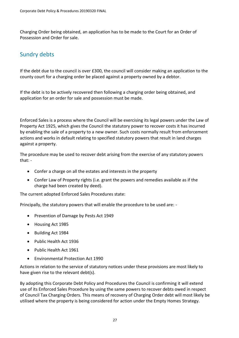Charging Order being obtained, an application has to be made to the Court for an Order of Possession and Order for sale.

# Sundry debts

If the debt due to the council is over £300, the council will consider making an application to the county court for a charging order be placed against a property owned by a debtor.

If the debt is to be actively recovered then following a charging order being obtained, and application for an order for sale and possession must be made.

Enforced Sales is a process where the Council will be exercising its legal powers under the Law of Property Act 1925, which gives the Council the statutory power to recover costs it has incurred by enabling the sale of a property to a new owner. Such costs normally result from enforcement actions and works in default relating to specified statutory powers that result in land charges against a property.

The procedure may be used to recover debt arising from the exercise of any statutory powers that: -

- Confer a charge on all the estates and interests in the property
- Confer Law of Property rights (i.e. grant the powers and remedies available as if the charge had been created by deed).

The current adopted Enforced Sales Procedures state:

Principally, the statutory powers that will enable the procedure to be used are: -

- Prevention of Damage by Pests Act 1949
- Housing Act 1985
- Building Act 1984
- Public Health Act 1936
- Public Health Act 1961
- Environmental Protection Act 1990

Actions in relation to the service of statutory notices under these provisions are most likely to have given rise to the relevant debt(s).

By adopting this Corporate Debt Policy and Procedures the Council is confirming it will extend use of its Enforced Sales Procedure by using the same powers to recover debts owed in respect of Council Tax Charging Orders. This means of recovery of Charging Order debt will most likely be utilised where the property is being considered for action under the Empty Homes Strategy.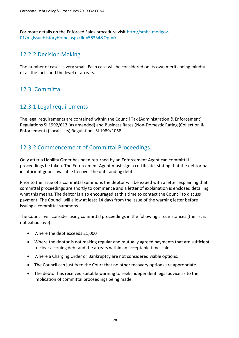For more details on the Enforced Sales procedure visit [http://smbc-modgov-](http://smbc-modgov-01/mgIssueHistoryHome.aspx?IId=56334&Opt=0)[01/mgIssueHistoryHome.aspx?IId=56334&Opt=0](http://smbc-modgov-01/mgIssueHistoryHome.aspx?IId=56334&Opt=0)

#### 12.2.2 Decision Making

The number of cases is very small. Each case will be considered on its own merits being mindful of all the facts and the level of arrears.

### 12.3 Committal

#### 12.3.1 Legal requirements

The legal requirements are contained within the Council Tax (Administration & Enforcement) Regulations SI 1992/613 (as amended) and Business Rates (Non-Domestic Rating (Collection & Enforcement) (Local Lists) Regulations SI 1989/1058.

# 12.3.2 Commencement of Committal Proceedings

Only after a Liability Order has been returned by an Enforcement Agent can committal proceedings be taken. The Enforcement Agent must sign a certificate, stating that the debtor has insufficient goods available to cover the outstanding debt.

Prior to the issue of a committal summons the debtor will be issued with a letter explaining that committal proceedings are shortly to commence and a letter of explanation is enclosed detailing what this means. The debtor is also encouraged at this time to contact the Council to discuss payment. The Council will allow at least 14 days from the issue of the warning letter before issuing a committal summons.

The Council will consider using committal proceedings in the following circumstances (the list is not exhaustive):

- Where the debt exceeds £1,000
- Where the debtor is not making regular and mutually agreed payments that are sufficient to clear accruing debt and the arrears within an acceptable timescale.
- Where a Charging Order or Bankruptcy are not considered viable options.
- The Council can justify to the Court that no other recovery options are appropriate.
- The debtor has received suitable warning to seek independent legal advice as to the implication of committal proceedings being made.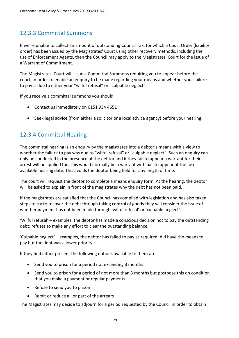# 12.3.3 Committal Summons

If we're unable to collect an amount of outstanding Council Tax, for which a Court Order (liability order) has been issued by the Magistrates' Court using other recovery methods, including the use of Enforcement Agents, then the Council may apply to the Magistrates' Court for the issue of a Warrant of Commitment.

The Magistrates' Court will issue a Committal Summons requiring you to appear before the court, in order to enable an enquiry to be made regarding your means and whether your failure to pay is due to either your "wilful refusal" or "culpable neglect".

If you receive a committal summons you should

- Contact us immediately on 0151 934 4651
- Seek legal advice (from either a solicitor or a local advice agency) before your hearing.

# 12.3.4 Committal Hearing

The committal hearing is an enquiry by the magistrates into a debtor's means with a view to whether the failure to pay was due to "wilful refusal" or "culpable neglect". Such an enquiry can only be conducted in the presence of the debtor and if they fail to appear a warrant for their arrest will be applied for. This would normally be a warrant with bail to appear at the next available hearing date. This avoids the debtor being held for any length of time.

The court will request the debtor to complete a means enquiry form. At the hearing, the debtor will be asked to explain in front of the magistrates why the debt has not been paid.

If the magistrates are satisfied that the Council has complied with legislation and has also taken steps to try to recover the debt through taking control of goods they will consider the issue of whether payment has not been made through 'wilful refusal' or 'culpable neglect'.

'Wilful refusal' – examples, the debtor has made a conscious decision not to pay the outstanding debt; refuses to make any effort to clear the outstanding balance.

'Culpable neglect' – examples, the debtor has failed to pay as required; did have the means to pay but the debt was a lower priority.

If they find either present the following options available to them are: -

- Send you to prison for a period not exceeding 3 months
- Send you to prison for a period of not more than 3 months but postpose this on condition that you make a payment or regular payments.
- Refuse to send you to prison
- Remit or reduce all or part of the arrears

The Magistrates may decide to adjourn for a period requested by the Council in order to obtain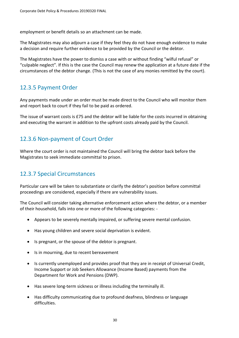employment or benefit details so an attachment can be made.

The Magistrates may also adjourn a case if they feel they do not have enough evidence to make a decision and require further evidence to be provided by the Council or the debtor.

The Magistrates have the power to dismiss a case with or without finding "wilful refusal" or "culpable neglect". If this is the case the Council may renew the application at a future date if the circumstances of the debtor change. (This is not the case of any monies remitted by the court).

#### 12.3.5 Payment Order

Any payments made under an order must be made direct to the Council who will monitor them and report back to court if they fail to be paid as ordered.

The issue of warrant costs is £75 and the debtor will be liable for the costs incurred in obtaining and executing the warrant in addition to the upfront costs already paid by the Council.

### 12.3.6 Non-payment of Court Order

Where the court order is not maintained the Council will bring the debtor back before the Magistrates to seek immediate committal to prison.

#### 12.3.7 Special Circumstances

Particular care will be taken to substantiate or clarify the debtor's position before committal proceedings are considered, especially if there are vulnerability issues.

The Council will consider taking alternative enforcement action where the debtor, or a member of their household, falls into one or more of the following categories: -

- Appears to be severely mentally impaired, or suffering severe mental confusion.
- Has young children and severe social deprivation is evident.
- Is pregnant, or the spouse of the debtor is pregnant.
- Is in mourning, due to recent bereavement
- Is currently unemployed and provides proof that they are in receipt of Universal Credit, Income Support or Job Seekers Allowance (Income Based) payments from the Department for Work and Pensions (DWP).
- Has severe long-term sickness or illness including the terminally ill.
- Has difficulty communicating due to profound deafness, blindness or language difficulties.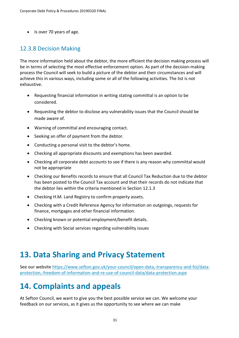• Is over 70 years of age.

#### 12.3.8 Decision Making

The more information held about the debtor, the more efficient the decision making process will be in terms of selecting the most effective enforcement option. As part of the decision-making process the Council will seek to build a picture of the debtor and their circumstances and will achieve this in various ways, including some or all of the following activities. The list is not exhaustive.

- Requesting financial information in writing stating committal is an option to be considered.
- Requesting the debtor to disclose any vulnerability issues that the Council should be made aware of.
- Warning of committal and encouraging contact.
- Seeking an offer of payment from the debtor.
- Conducting a personal visit to the debtor's home.
- Checking all appropriate discounts and exemptions has been awarded.
- Checking all corporate debt accounts to see if there is any reason why committal would not be appropriate
- Checking our Benefits records to ensure that all Council Tax Reduction due to the debtor has been posted to the Council Tax account and that their records do not indicate that the debtor lies within the criteria mentioned in Section 12.1.3
- Checking H.M. Land Registry to confirm property assets.
- Checking with a Credit Reference Agency for information on outgoings, requests for finance, mortgages and other financial information.
- Checking known or potential employment/benefit details.
- Checking with Social services regarding vulnerability issues

# **13. Data Sharing and Privacy Statement**

See our website [https://www.sefton.gov.uk/your-council/open-data,-transparency-and-foi/data](https://www.sefton.gov.uk/your-council/open-data,-transparency-and-foi/data-protection,-freedom-of-information-and-re-use-of-council-data/data-protection.aspx)[protection,-freedom-of-information-and-re-use-of-council-data/data-protection.aspx](https://www.sefton.gov.uk/your-council/open-data,-transparency-and-foi/data-protection,-freedom-of-information-and-re-use-of-council-data/data-protection.aspx)

# **14. Complaints and appeals**

At Sefton Council, we want to give you the best possible service we can. We welcome your feedback on our services, as it gives us the opportunity to see where we can make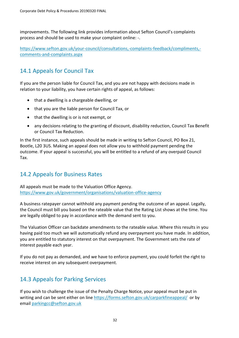improvements. The following link provides information about Sefton Council's complaints process and should be used to make your complaint online: -.

[https://www.sefton.gov.uk/your-council/consultations,-complaints-feedback/compliments,](https://www.sefton.gov.uk/your-council/consultations,-complaints-feedback/compliments,-comments-and-complaints.aspx) [comments-and-complaints.aspx](https://www.sefton.gov.uk/your-council/consultations,-complaints-feedback/compliments,-comments-and-complaints.aspx)

# 14.1 Appeals for Council Tax

If you are the person liable for Council Tax, and you are not happy with decisions made in relation to your liability, you have certain rights of appeal, as follows:

- that a dwelling is a chargeable dwelling, or
- that you are the liable person for Council Tax, or
- that the dwelling is or is not exempt, or
- any decisions relating to the granting of discount, disability reduction, Council Tax Benefit or Council Tax Reduction.

In the first instance, such appeals should be made in writing to Sefton Council, PO Box 21, Bootle, L20 3US. Making an appeal does not allow you to withhold payment pending the outcome. If your appeal is successful, you will be entitled to a refund of any overpaid Council Tax.

# 14.2 Appeals for Business Rates

All appeals must be made to the Valuation Office Agency. <https://www.gov.uk/government/organisations/valuation-office-agency>

A business ratepayer cannot withhold any payment pending the outcome of an appeal. Legally, the Council must bill you based on the rateable value that the Rating List shows at the time. You are legally obliged to pay in accordance with the demand sent to you.

The Valuation Officer can backdate amendments to the rateable value. Where this results in you having paid too much we will automatically refund any overpayment you have made. In addition, you are entitled to statutory interest on that overpayment. The Government sets the rate of interest payable each year.

If you do not pay as demanded, and we have to enforce payment, you could forfeit the right to receive interest on any subsequent overpayment.

#### 14.3 Appeals for Parking Services

If you wish to challenge the issue of the Penalty Charge Notice, your appeal must be put in writing and can be sent either on line<https://forms.sefton.gov.uk/carparkfineappeal/> or by email [parkingcc@sefton.gov.uk](mailto:parkingcc@sefton.gov.uk)